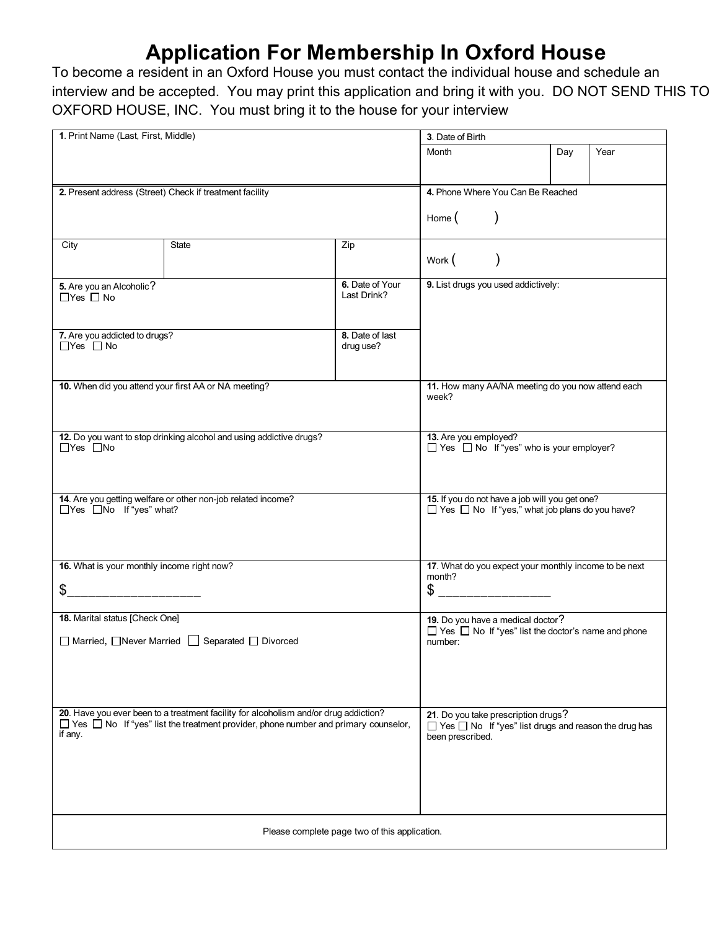## **Application For Membership In Oxford House**

To become a resident in an Oxford House you must contact the individual house and schedule an interview and be accepted. You may print this application and bring it with you. DO NOT SEND THIS TO OXFORD HOUSE, INC. You must bring it to the house for your interview

| 1. Print Name (Last, First, Middle)                                                                                                                                                               |       |                 | 3. Date of Birth                                                                                               |     |      |  |  |
|---------------------------------------------------------------------------------------------------------------------------------------------------------------------------------------------------|-------|-----------------|----------------------------------------------------------------------------------------------------------------|-----|------|--|--|
|                                                                                                                                                                                                   |       | Month           |                                                                                                                | Day | Year |  |  |
|                                                                                                                                                                                                   |       |                 |                                                                                                                |     |      |  |  |
| 2. Present address (Street) Check if treatment facility                                                                                                                                           |       |                 | 4. Phone Where You Can Be Reached                                                                              |     |      |  |  |
|                                                                                                                                                                                                   |       |                 | Home $($                                                                                                       |     |      |  |  |
| City                                                                                                                                                                                              | State | Zip             |                                                                                                                |     |      |  |  |
|                                                                                                                                                                                                   |       |                 | Work ( )                                                                                                       |     |      |  |  |
| 5. Are you an Alcoholic?                                                                                                                                                                          |       | 6. Date of Your | 9. List drugs you used addictively:                                                                            |     |      |  |  |
| $\Box$ Yes $\Box$ No                                                                                                                                                                              |       | Last Drink?     |                                                                                                                |     |      |  |  |
|                                                                                                                                                                                                   |       |                 |                                                                                                                |     |      |  |  |
| 7. Are you addicted to drugs?                                                                                                                                                                     |       | 8. Date of last |                                                                                                                |     |      |  |  |
| $\Box$ Yes $\Box$ No                                                                                                                                                                              |       | drug use?       |                                                                                                                |     |      |  |  |
|                                                                                                                                                                                                   |       |                 |                                                                                                                |     |      |  |  |
| 10. When did you attend your first AA or NA meeting?                                                                                                                                              |       |                 | 11. How many AA/NA meeting do you now attend each<br>week?                                                     |     |      |  |  |
|                                                                                                                                                                                                   |       |                 |                                                                                                                |     |      |  |  |
|                                                                                                                                                                                                   |       |                 |                                                                                                                |     |      |  |  |
| 12. Do you want to stop drinking alcohol and using addictive drugs?                                                                                                                               |       |                 | 13. Are you employed?                                                                                          |     |      |  |  |
| $\Box$ Yes $\Box$ No                                                                                                                                                                              |       |                 | $\Box$ Yes $\Box$ No If "yes" who is your employer?                                                            |     |      |  |  |
|                                                                                                                                                                                                   |       |                 |                                                                                                                |     |      |  |  |
|                                                                                                                                                                                                   |       |                 |                                                                                                                |     |      |  |  |
| 14. Are you getting welfare or other non-job related income?<br>□Yes □No If "yes" what?                                                                                                           |       |                 | 15. If you do not have a job will you get one?<br>$\Box$ Yes $\Box$ No If "yes," what job plans do you have?   |     |      |  |  |
|                                                                                                                                                                                                   |       |                 |                                                                                                                |     |      |  |  |
|                                                                                                                                                                                                   |       |                 |                                                                                                                |     |      |  |  |
|                                                                                                                                                                                                   |       |                 |                                                                                                                |     |      |  |  |
| 16. What is your monthly income right now?                                                                                                                                                        |       |                 | 17. What do you expect your monthly income to be next<br>month?                                                |     |      |  |  |
| \$                                                                                                                                                                                                |       |                 | $$$ __________________                                                                                         |     |      |  |  |
|                                                                                                                                                                                                   |       |                 |                                                                                                                |     |      |  |  |
| 18. Marital status [Check One]                                                                                                                                                                    |       |                 | 19. Do you have a medical doctor?<br>$\Box$ Yes $\Box$ No If "yes" list the doctor's name and phone<br>number: |     |      |  |  |
| □ Married, □ Never Married □ Separated □ Divorced                                                                                                                                                 |       |                 |                                                                                                                |     |      |  |  |
|                                                                                                                                                                                                   |       |                 |                                                                                                                |     |      |  |  |
|                                                                                                                                                                                                   |       |                 |                                                                                                                |     |      |  |  |
|                                                                                                                                                                                                   |       |                 |                                                                                                                |     |      |  |  |
|                                                                                                                                                                                                   |       |                 |                                                                                                                |     |      |  |  |
| 20. Have you ever been to a treatment facility for alcoholism and/or drug addiction?<br>$\Box$ Yes $\Box$ No If "yes" list the treatment provider, phone number and primary counselor,<br>if any. |       |                 | 21. Do you take prescription drugs?<br>$\Box$ Yes $\Box$ No If "yes" list drugs and reason the drug has        |     |      |  |  |
|                                                                                                                                                                                                   |       |                 | been prescribed.                                                                                               |     |      |  |  |
|                                                                                                                                                                                                   |       |                 |                                                                                                                |     |      |  |  |
|                                                                                                                                                                                                   |       |                 |                                                                                                                |     |      |  |  |
|                                                                                                                                                                                                   |       |                 |                                                                                                                |     |      |  |  |
|                                                                                                                                                                                                   |       |                 |                                                                                                                |     |      |  |  |
| Please complete page two of this application.                                                                                                                                                     |       |                 |                                                                                                                |     |      |  |  |
|                                                                                                                                                                                                   |       |                 |                                                                                                                |     |      |  |  |